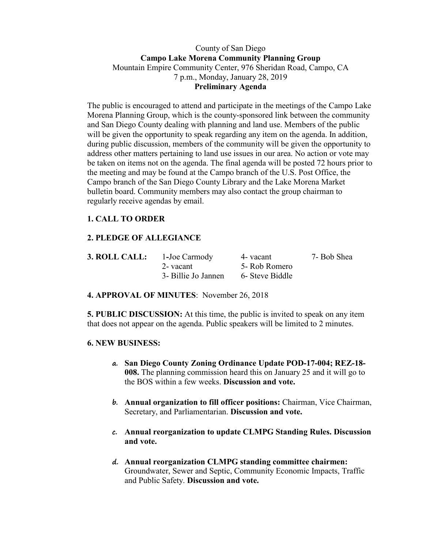### County of San Diego **Campo Lake Morena Community Planning Group** Mountain Empire Community Center, 976 Sheridan Road, Campo, CA 7 p.m., Monday, January 28, 2019 **Preliminary Agenda**

The public is encouraged to attend and participate in the meetings of the Campo Lake Morena Planning Group, which is the county-sponsored link between the community and San Diego County dealing with planning and land use. Members of the public will be given the opportunity to speak regarding any item on the agenda. In addition, during public discussion, members of the community will be given the opportunity to address other matters pertaining to land use issues in our area. No action or vote may be taken on items not on the agenda. The final agenda will be posted 72 hours prior to the meeting and may be found at the Campo branch of the U.S. Post Office, the Campo branch of the San Diego County Library and the Lake Morena Market bulletin board. Community members may also contact the group chairman to regularly receive agendas by email.

## **1. CALL TO ORDER**

## **2. PLEDGE OF ALLEGIANCE**

| <b>3. ROLL CALL:</b> | 1-Joe Carmody       | 4- vacant       | 7- Bob Shea |
|----------------------|---------------------|-----------------|-------------|
|                      | 2- vacant           | 5- Rob Romero   |             |
|                      | 3- Billie Jo Jannen | 6- Steve Biddle |             |

**4. APPROVAL OF MINUTES**: November 26, 2018

**5. PUBLIC DISCUSSION:** At this time, the public is invited to speak on any item that does not appear on the agenda. Public speakers will be limited to 2 minutes.

#### **6. NEW BUSINESS:**

- **a. San Diego County Zoning Ordinance Update POD-17-004; REZ-18- 008.** The planning commission heard this on January 25 and it will go to the BOS within a few weeks. **Discussion and vote.**
- **b. Annual organization to fill officer positions:** Chairman, Vice Chairman, Secretary, and Parliamentarian. **Discussion and vote.**
- **c. Annual reorganization to update CLMPG Standing Rules. Discussion and vote.**
- **d. Annual reorganization CLMPG standing committee chairmen:**  Groundwater, Sewer and Septic, Community Economic Impacts, Traffic and Public Safety. **Discussion and vote.**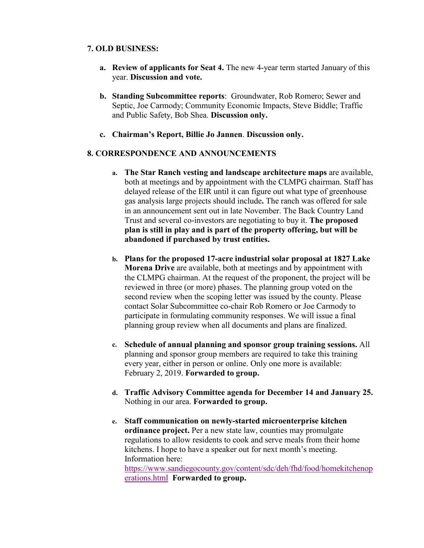#### **7. OLD BUSINESS:**

- **a. Review of applicants for Seat 4.** The new 4-year term started January of this year. **Discussion and vote.**
- **b. Standing Subcommittee reports**: Groundwater, Rob Romero; Sewer and Septic, Joe Carmody; Community Economic Impacts, Steve Biddle; Traffic and Public Safety, Bob Shea. **Discussion only.**
- **c. Chairman's Report, Billie Jo Jannen**. **Discussion only.**

## **8. CORRESPONDENCE AND ANNOUNCEMENTS**

- **a. The Star Ranch vesting and landscape architecture maps** are available, both at meetings and by appointment with the CLMPG chairman. Staff has delayed release of the EIR until it can figure out what type of greenhouse gas analysis large projects should include**.** The ranch was offered for sale in an announcement sent out in late November. The Back Country Land Trust and several co-investors are negotiating to buy it. **The proposed plan is still in play and is part of the property offering, but will be abandoned if purchased by trust entities.**
- **b. Plans for the proposed 17-acre industrial solar proposal at 1827 Lake Morena Drive** are available, both at meetings and by appointment with the CLMPG chairman. At the request of the proponent, the project will be reviewed in three (or more) phases. The planning group voted on the second review when the scoping letter was issued by the county. Please contact Solar Subcommittee co-chair Rob Romero or Joe Carmody to participate in formulating community responses. We will issue a final planning group review when all documents and plans are finalized.
- **c. Schedule of annual planning and sponsor group training sessions.** All planning and sponsor group members are required to take this training every year, either in person or online. Only one more is available: February 2, 2019. **Forwarded to group.**
- **d. Traffic Advisory Committee agenda for December 14 and January 25.**  Nothing in our area. **Forwarded to group.**
- **e. Staff communication on newly-started microenterprise kitchen ordinance project.** Per a new state law, counties may promulgate regulations to allow residents to cook and serve meals from their home kitchens. I hope to have a speaker out for next month's meeting. Information here: https://www.sandiegocounty.gov/content/sdc/deh/fhd/food/homekitchenop

erations.html **Forwarded to group.**